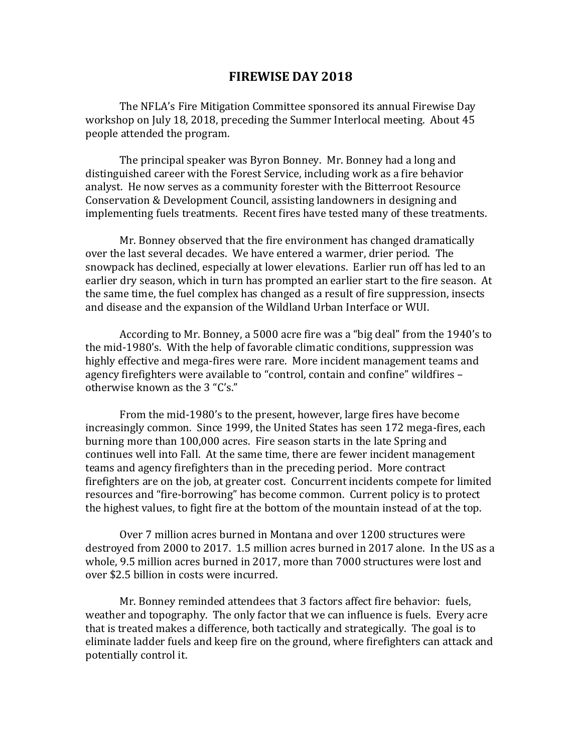## **FIREWISE DAY 2018**

The NFLA's Fire Mitigation Committee sponsored its annual Firewise Day workshop on July 18, 2018, preceding the Summer Interlocal meeting. About 45 people attended the program.

The principal speaker was Byron Bonney. Mr. Bonney had a long and distinguished career with the Forest Service, including work as a fire behavior analyst. He now serves as a community forester with the Bitterroot Resource Conservation & Development Council, assisting landowners in designing and implementing fuels treatments. Recent fires have tested many of these treatments.

Mr. Bonney observed that the fire environment has changed dramatically over the last several decades. We have entered a warmer, drier period. The snowpack has declined, especially at lower elevations. Earlier run off has led to an earlier dry season, which in turn has prompted an earlier start to the fire season. At the same time, the fuel complex has changed as a result of fire suppression, insects and disease and the expansion of the Wildland Urban Interface or WUI.

According to Mr. Bonney, a 5000 acre fire was a "big deal" from the 1940's to the mid-1980's. With the help of favorable climatic conditions, suppression was highly effective and mega-fires were rare. More incident management teams and agency firefighters were available to "control, contain and confine" wildfires – otherwise known as the 3 "C's."

From the mid-1980's to the present, however, large fires have become increasingly common. Since 1999, the United States has seen 172 mega-fires, each burning more than 100,000 acres. Fire season starts in the late Spring and continues well into Fall. At the same time, there are fewer incident management teams and agency firefighters than in the preceding period. More contract firefighters are on the job, at greater cost. Concurrent incidents compete for limited resources and "fire-borrowing" has become common. Current policy is to protect the highest values, to fight fire at the bottom of the mountain instead of at the top.

Over 7 million acres burned in Montana and over 1200 structures were destroyed from 2000 to 2017. 1.5 million acres burned in 2017 alone. In the US as a whole, 9.5 million acres burned in 2017, more than 7000 structures were lost and over \$2.5 billion in costs were incurred.

Mr. Bonney reminded attendees that 3 factors affect fire behavior: fuels, weather and topography. The only factor that we can influence is fuels. Every acre that is treated makes a difference, both tactically and strategically. The goal is to eliminate ladder fuels and keep fire on the ground, where firefighters can attack and potentially control it.